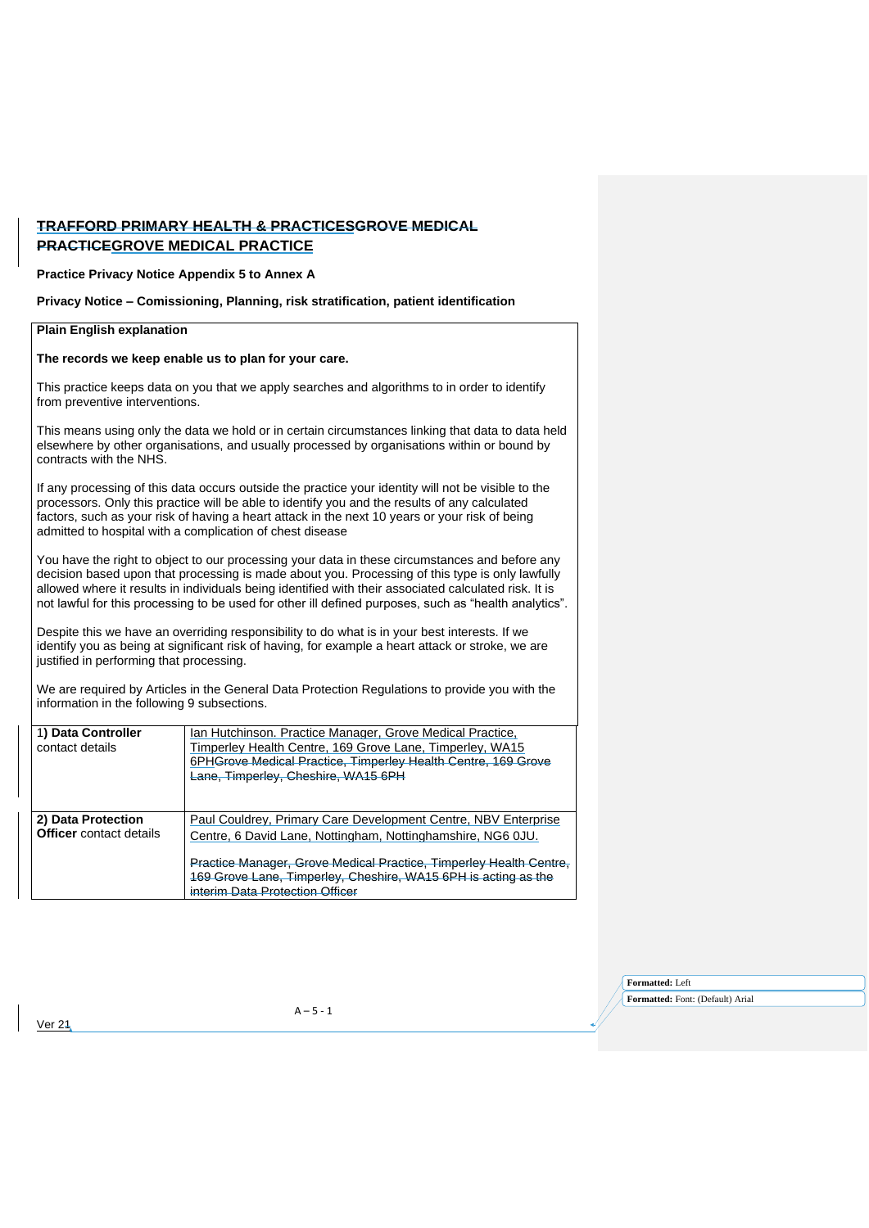## **TRAFFORD PRIMARY HEALTH & PRACTICESGROVE MEDICAL PRACTICEGROVE MEDICAL PRACTICE**

**Practice Privacy Notice Appendix 5 to Annex A** 

**Privacy Notice – Comissioning, Planning, risk stratification, patient identification** 

## **Plain English explanation The records we keep enable us to plan for your care.**  This practice keeps data on you that we apply searches and algorithms to in order to identify from preventive interventions. This means using only the data we hold or in certain circumstances linking that data to data held elsewhere by other organisations, and usually processed by organisations within or bound by contracts with the NHS. If any processing of this data occurs outside the practice your identity will not be visible to the processors. Only this practice will be able to identify you and the results of any calculated factors, such as your risk of having a heart attack in the next 10 years or your risk of being admitted to hospital with a complication of chest disease You have the right to object to our processing your data in these circumstances and before any decision based upon that processing is made about you. Processing of this type is only lawfully allowed where it results in individuals being identified with their associated calculated risk. It is not lawful for this processing to be used for other ill defined purposes, such as "health analytics". Despite this we have an overriding responsibility to do what is in your best interests. If we identify you as being at significant risk of having, for example a heart attack or stroke, we are justified in performing that processing. We are required by Articles in the General Data Protection Regulations to provide you with the information in the following 9 subsections. 1**) Data Controller** contact details Ian Hutchinson. Practice Manager, Grove Medical Practice, Timperley Health Centre, 169 Grove Lane, Timperley, WA15 6PHGrove Medical Practice, Timperley Health Centre, 169 Grove Lane, Timperley, Cheshire, WA15 6PH **2) Data Protection Officer** contact details Paul Couldrey, Primary Care Development Centre, NBV Enterprise Centre, 6 David Lane, Nottingham, Nottinghamshire, NG6 0JU. Practice Manager, Grove Medical Practice, Timperley Health Centre,

Ver 21

interim Data Protection Officer

169 Grove Lane, Timperley, Cheshire, WA15 6PH is acting as the

**Formatted:** Left **Formatted:** Font: (Default) Arial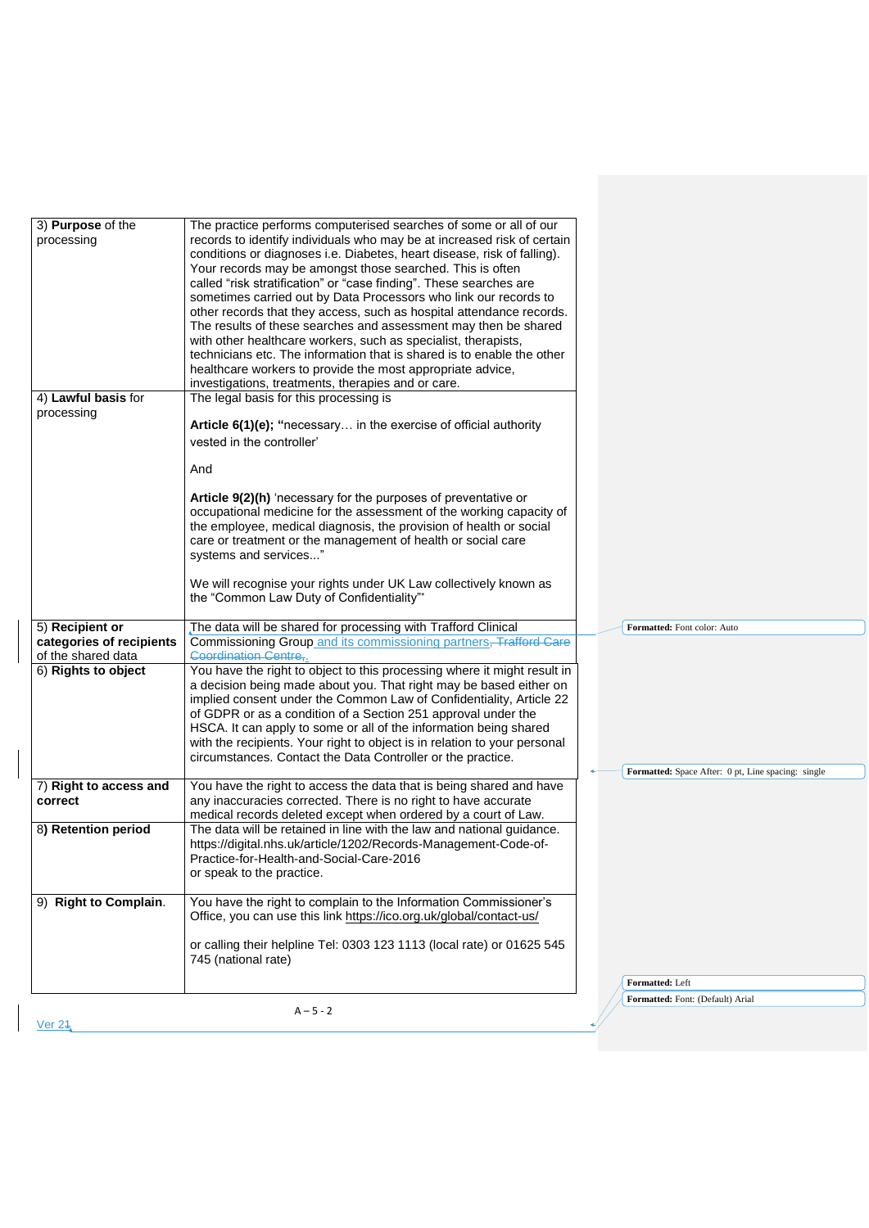| 3) Purpose of the<br>records to identify individuals who may be at increased risk of certain<br>processing<br>conditions or diagnoses i.e. Diabetes, heart disease, risk of falling).<br>Your records may be amongst those searched. This is often<br>called "risk stratification" or "case finding". These searches are<br>sometimes carried out by Data Processors who link our records to<br>other records that they access, such as hospital attendance records.<br>The results of these searches and assessment may then be shared<br>with other healthcare workers, such as specialist, therapists,<br>technicians etc. The information that is shared is to enable the other<br>healthcare workers to provide the most appropriate advice,<br>investigations, treatments, therapies and or care.<br>4) Lawful basis for<br>The legal basis for this processing is<br>processing<br>Article 6(1)(e); "necessary in the exercise of official authority<br>vested in the controller'<br>And<br>Article 9(2)(h) 'necessary for the purposes of preventative or<br>occupational medicine for the assessment of the working capacity of<br>the employee, medical diagnosis, the provision of health or social<br>care or treatment or the management of health or social care<br>systems and services"<br>We will recognise your rights under UK Law collectively known as<br>the "Common Law Duty of Confidentiality"*<br>The data will be shared for processing with Trafford Clinical<br>5) Recipient or<br>Formatted: Font color: Auto<br>Commissioning Group and its commissioning partners, Trafford Care<br>categories of recipients<br>of the shared data<br><b>Coordination Centre,</b><br>6) Rights to object<br>You have the right to object to this processing where it might result in<br>a decision being made about you. That right may be based either on<br>implied consent under the Common Law of Confidentiality, Article 22<br>of GDPR or as a condition of a Section 251 approval under the<br>HSCA. It can apply to some or all of the information being shared<br>with the recipients. Your right to object is in relation to your personal<br>circumstances. Contact the Data Controller or the practice.<br>Formatted: Space After: 0 pt, Line spacing: single<br>7) Right to access and<br>You have the right to access the data that is being shared and have<br>correct<br>any inaccuracies corrected. There is no right to have accurate<br>medical records deleted except when ordered by a court of Law.<br>The data will be retained in line with the law and national guidance.<br>8) Retention period<br>https://digital.nhs.uk/article/1202/Records-Management-Code-of-<br>Practice-for-Health-and-Social-Care-2016<br>or speak to the practice.<br>You have the right to complain to the Information Commissioner's<br>9) Right to Complain.<br>Office, you can use this link https://ico.org.uk/global/contact-us/<br>or calling their helpline Tel: 0303 123 1113 (local rate) or 01625 545<br>745 (national rate)<br>Formatted: Left<br>Formatted: Font: (Default) Arial<br>$A - 5 - 2$ |                                                                   |  |
|----------------------------------------------------------------------------------------------------------------------------------------------------------------------------------------------------------------------------------------------------------------------------------------------------------------------------------------------------------------------------------------------------------------------------------------------------------------------------------------------------------------------------------------------------------------------------------------------------------------------------------------------------------------------------------------------------------------------------------------------------------------------------------------------------------------------------------------------------------------------------------------------------------------------------------------------------------------------------------------------------------------------------------------------------------------------------------------------------------------------------------------------------------------------------------------------------------------------------------------------------------------------------------------------------------------------------------------------------------------------------------------------------------------------------------------------------------------------------------------------------------------------------------------------------------------------------------------------------------------------------------------------------------------------------------------------------------------------------------------------------------------------------------------------------------------------------------------------------------------------------------------------------------------------------------------------------------------------------------------------------------------------------------------------------------------------------------------------------------------------------------------------------------------------------------------------------------------------------------------------------------------------------------------------------------------------------------------------------------------------------------------------------------------------------------------------------------------------------------------------------------------------------------------------------------------------------------------------------------------------------------------------------------------------------------------------------------------------------------------------------------------------------------------------------------------------------------------------------------------------------------------------------------------------------------------------------------------------------------------------------------------------------------------------------------------------------------------------------------------------------------|-------------------------------------------------------------------|--|
|                                                                                                                                                                                                                                                                                                                                                                                                                                                                                                                                                                                                                                                                                                                                                                                                                                                                                                                                                                                                                                                                                                                                                                                                                                                                                                                                                                                                                                                                                                                                                                                                                                                                                                                                                                                                                                                                                                                                                                                                                                                                                                                                                                                                                                                                                                                                                                                                                                                                                                                                                                                                                                                                                                                                                                                                                                                                                                                                                                                                                                                                                                                                  | The practice performs computerised searches of some or all of our |  |
|                                                                                                                                                                                                                                                                                                                                                                                                                                                                                                                                                                                                                                                                                                                                                                                                                                                                                                                                                                                                                                                                                                                                                                                                                                                                                                                                                                                                                                                                                                                                                                                                                                                                                                                                                                                                                                                                                                                                                                                                                                                                                                                                                                                                                                                                                                                                                                                                                                                                                                                                                                                                                                                                                                                                                                                                                                                                                                                                                                                                                                                                                                                                  |                                                                   |  |
|                                                                                                                                                                                                                                                                                                                                                                                                                                                                                                                                                                                                                                                                                                                                                                                                                                                                                                                                                                                                                                                                                                                                                                                                                                                                                                                                                                                                                                                                                                                                                                                                                                                                                                                                                                                                                                                                                                                                                                                                                                                                                                                                                                                                                                                                                                                                                                                                                                                                                                                                                                                                                                                                                                                                                                                                                                                                                                                                                                                                                                                                                                                                  |                                                                   |  |
|                                                                                                                                                                                                                                                                                                                                                                                                                                                                                                                                                                                                                                                                                                                                                                                                                                                                                                                                                                                                                                                                                                                                                                                                                                                                                                                                                                                                                                                                                                                                                                                                                                                                                                                                                                                                                                                                                                                                                                                                                                                                                                                                                                                                                                                                                                                                                                                                                                                                                                                                                                                                                                                                                                                                                                                                                                                                                                                                                                                                                                                                                                                                  |                                                                   |  |
|                                                                                                                                                                                                                                                                                                                                                                                                                                                                                                                                                                                                                                                                                                                                                                                                                                                                                                                                                                                                                                                                                                                                                                                                                                                                                                                                                                                                                                                                                                                                                                                                                                                                                                                                                                                                                                                                                                                                                                                                                                                                                                                                                                                                                                                                                                                                                                                                                                                                                                                                                                                                                                                                                                                                                                                                                                                                                                                                                                                                                                                                                                                                  |                                                                   |  |
|                                                                                                                                                                                                                                                                                                                                                                                                                                                                                                                                                                                                                                                                                                                                                                                                                                                                                                                                                                                                                                                                                                                                                                                                                                                                                                                                                                                                                                                                                                                                                                                                                                                                                                                                                                                                                                                                                                                                                                                                                                                                                                                                                                                                                                                                                                                                                                                                                                                                                                                                                                                                                                                                                                                                                                                                                                                                                                                                                                                                                                                                                                                                  |                                                                   |  |
|                                                                                                                                                                                                                                                                                                                                                                                                                                                                                                                                                                                                                                                                                                                                                                                                                                                                                                                                                                                                                                                                                                                                                                                                                                                                                                                                                                                                                                                                                                                                                                                                                                                                                                                                                                                                                                                                                                                                                                                                                                                                                                                                                                                                                                                                                                                                                                                                                                                                                                                                                                                                                                                                                                                                                                                                                                                                                                                                                                                                                                                                                                                                  |                                                                   |  |
|                                                                                                                                                                                                                                                                                                                                                                                                                                                                                                                                                                                                                                                                                                                                                                                                                                                                                                                                                                                                                                                                                                                                                                                                                                                                                                                                                                                                                                                                                                                                                                                                                                                                                                                                                                                                                                                                                                                                                                                                                                                                                                                                                                                                                                                                                                                                                                                                                                                                                                                                                                                                                                                                                                                                                                                                                                                                                                                                                                                                                                                                                                                                  |                                                                   |  |
|                                                                                                                                                                                                                                                                                                                                                                                                                                                                                                                                                                                                                                                                                                                                                                                                                                                                                                                                                                                                                                                                                                                                                                                                                                                                                                                                                                                                                                                                                                                                                                                                                                                                                                                                                                                                                                                                                                                                                                                                                                                                                                                                                                                                                                                                                                                                                                                                                                                                                                                                                                                                                                                                                                                                                                                                                                                                                                                                                                                                                                                                                                                                  |                                                                   |  |
|                                                                                                                                                                                                                                                                                                                                                                                                                                                                                                                                                                                                                                                                                                                                                                                                                                                                                                                                                                                                                                                                                                                                                                                                                                                                                                                                                                                                                                                                                                                                                                                                                                                                                                                                                                                                                                                                                                                                                                                                                                                                                                                                                                                                                                                                                                                                                                                                                                                                                                                                                                                                                                                                                                                                                                                                                                                                                                                                                                                                                                                                                                                                  |                                                                   |  |
|                                                                                                                                                                                                                                                                                                                                                                                                                                                                                                                                                                                                                                                                                                                                                                                                                                                                                                                                                                                                                                                                                                                                                                                                                                                                                                                                                                                                                                                                                                                                                                                                                                                                                                                                                                                                                                                                                                                                                                                                                                                                                                                                                                                                                                                                                                                                                                                                                                                                                                                                                                                                                                                                                                                                                                                                                                                                                                                                                                                                                                                                                                                                  |                                                                   |  |
|                                                                                                                                                                                                                                                                                                                                                                                                                                                                                                                                                                                                                                                                                                                                                                                                                                                                                                                                                                                                                                                                                                                                                                                                                                                                                                                                                                                                                                                                                                                                                                                                                                                                                                                                                                                                                                                                                                                                                                                                                                                                                                                                                                                                                                                                                                                                                                                                                                                                                                                                                                                                                                                                                                                                                                                                                                                                                                                                                                                                                                                                                                                                  |                                                                   |  |
|                                                                                                                                                                                                                                                                                                                                                                                                                                                                                                                                                                                                                                                                                                                                                                                                                                                                                                                                                                                                                                                                                                                                                                                                                                                                                                                                                                                                                                                                                                                                                                                                                                                                                                                                                                                                                                                                                                                                                                                                                                                                                                                                                                                                                                                                                                                                                                                                                                                                                                                                                                                                                                                                                                                                                                                                                                                                                                                                                                                                                                                                                                                                  |                                                                   |  |
|                                                                                                                                                                                                                                                                                                                                                                                                                                                                                                                                                                                                                                                                                                                                                                                                                                                                                                                                                                                                                                                                                                                                                                                                                                                                                                                                                                                                                                                                                                                                                                                                                                                                                                                                                                                                                                                                                                                                                                                                                                                                                                                                                                                                                                                                                                                                                                                                                                                                                                                                                                                                                                                                                                                                                                                                                                                                                                                                                                                                                                                                                                                                  |                                                                   |  |